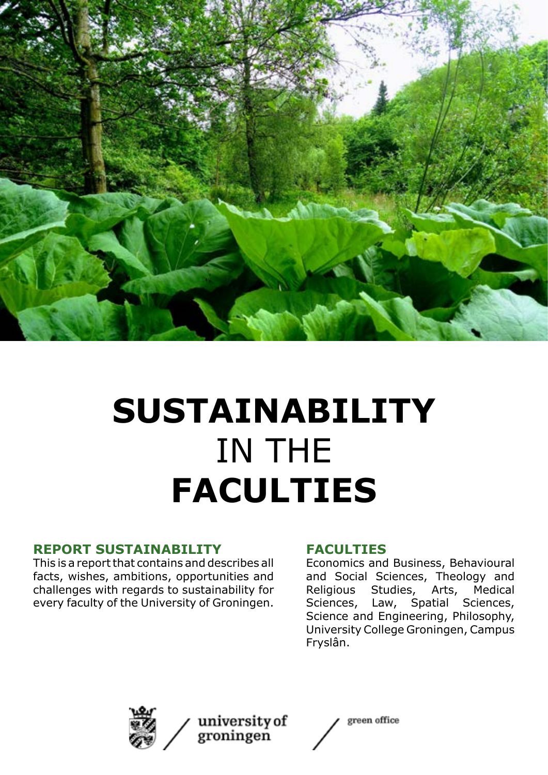

### **SUSTAINABILITY** IN THE **FACULTIES**

#### **REPORT SUSTAINABILITY**

This is a report that contains and describes all facts, wishes, ambitions, opportunities and challenges with regards to sustainability for every faculty of the University of Groningen.

#### **FACULTIES**

Economics and Business, Behavioural and Social Sciences, Theology and Religious Studies, Arts, Medical Sciences, Law, Spatial Sciences, Science and Engineering, Philosophy, University College Groningen, Campus Fryslân.



university of groningen

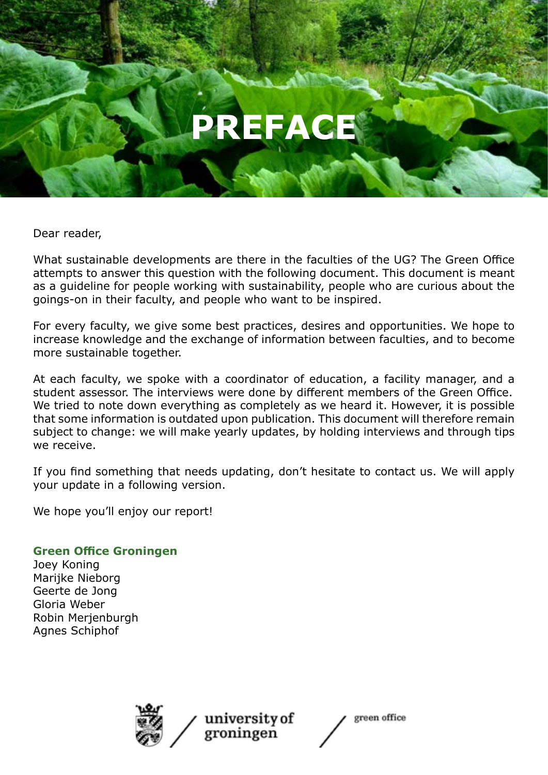### **PREFACE**

Dear reader,

What sustainable developments are there in the faculties of the UG? The Green Office attempts to answer this question with the following document. This document is meant as a guideline for people working with sustainability, people who are curious about the goings-on in their faculty, and people who want to be inspired.

For every faculty, we give some best practices, desires and opportunities. We hope to increase knowledge and the exchange of information between faculties, and to become more sustainable together.

At each faculty, we spoke with a coordinator of education, a facility manager, and a student assessor. The interviews were done by different members of the Green Office. We tried to note down everything as completely as we heard it. However, it is possible that some information is outdated upon publication. This document will therefore remain subject to change: we will make yearly updates, by holding interviews and through tips we receive.

If you find something that needs updating, don't hesitate to contact us. We will apply your update in a following version.

We hope you'll enjoy our report!

#### **Green Office Groningen**

Joey Koning Marijke Nieborg Geerte de Jong Gloria Weber Robin Merjenburgh Agnes Schiphof



university of groningen

green office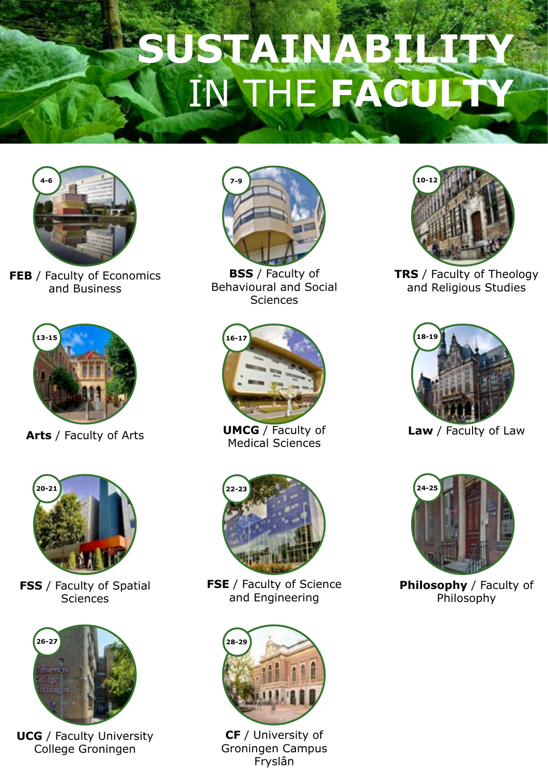# **SUSTAINABILLE** IN THE **FACULTY**



**FEB** / Faculty of Economics and Business



**Arts** / Faculty of Arts



**FSS** / Faculty of Spatial Sciences



**UCG** / Faculty University College Groningen



**BSS** / Faculty of Behavioural and Social **Sciences** 



**UMCG** / Faculty of Medical Sciences



**FSE** / Faculty of Science and Engineering



**CF** / University of Groningen Campus Fryslân



**TRS** / Faculty of Theology and Religious Studies



**Law** / Faculty of Law



**Philosophy** / Faculty of Philosophy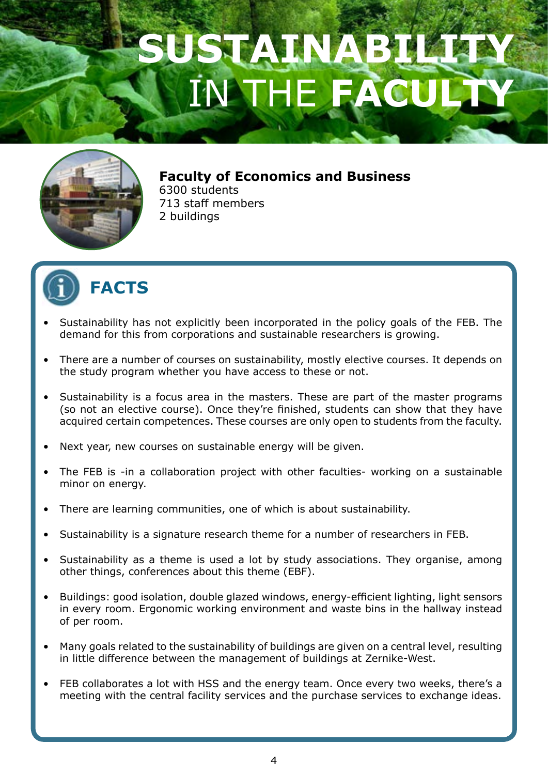### SUSTAINAB **INTHE FACULTY**



**Faculty of Economics and Business** 6300 students

713 staff members 2 buildings



- Sustainability has not explicitly been incorporated in the policy goals of the FEB. The demand for this from corporations and sustainable researchers is growing.
- There are a number of courses on sustainability, mostly elective courses. It depends on the study program whether you have access to these or not.
- Sustainability is a focus area in the masters. These are part of the master programs (so not an elective course). Once they're finished, students can show that they have acquired certain competences. These courses are only open to students from the faculty.
- Next year, new courses on sustainable energy will be given.
- The FEB is -in a collaboration project with other faculties- working on a sustainable minor on energy.
- There are learning communities, one of which is about sustainability.
- Sustainability is a signature research theme for a number of researchers in FEB.
- Sustainability as a theme is used a lot by study associations. They organise, among other things, conferences about this theme (EBF).
- Buildings: good isolation, double glazed windows, energy-efficient lighting, light sensors in every room. Ergonomic working environment and waste bins in the hallway instead of per room.
- Many goals related to the sustainability of buildings are given on a central level, resulting in little difference between the management of buildings at Zernike-West.
- FEB collaborates a lot with HSS and the energy team. Once every two weeks, there's a meeting with the central facility services and the purchase services to exchange ideas.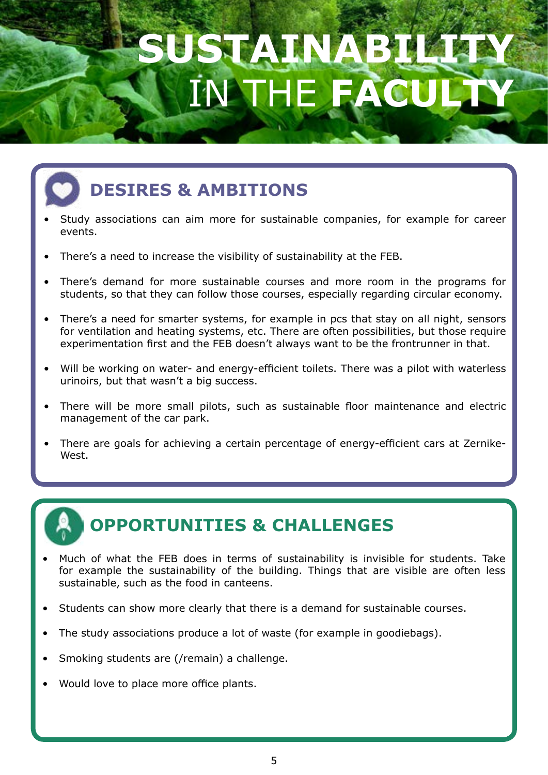# **SUSTAINAB** THE FAC

### **DESIRES & AMBITIONS**

- Study associations can aim more for sustainable companies, for example for career events.
- There's a need to increase the visibility of sustainability at the FEB.
- There's demand for more sustainable courses and more room in the programs for students, so that they can follow those courses, especially regarding circular economy.
- There's a need for smarter systems, for example in pcs that stay on all night, sensors for ventilation and heating systems, etc. There are often possibilities, but those require experimentation first and the FEB doesn't always want to be the frontrunner in that.
- Will be working on water- and energy-efficient toilets. There was a pilot with waterless urinoirs, but that wasn't a big success.
- There will be more small pilots, such as sustainable floor maintenance and electric management of the car park.
- There are goals for achieving a certain percentage of energy-efficient cars at Zernike-West.

- Much of what the FEB does in terms of sustainability is invisible for students. Take for example the sustainability of the building. Things that are visible are often less sustainable, such as the food in canteens.
- Students can show more clearly that there is a demand for sustainable courses.
- The study associations produce a lot of waste (for example in goodiebags).
- Smoking students are (/remain) a challenge.
- Would love to place more office plants.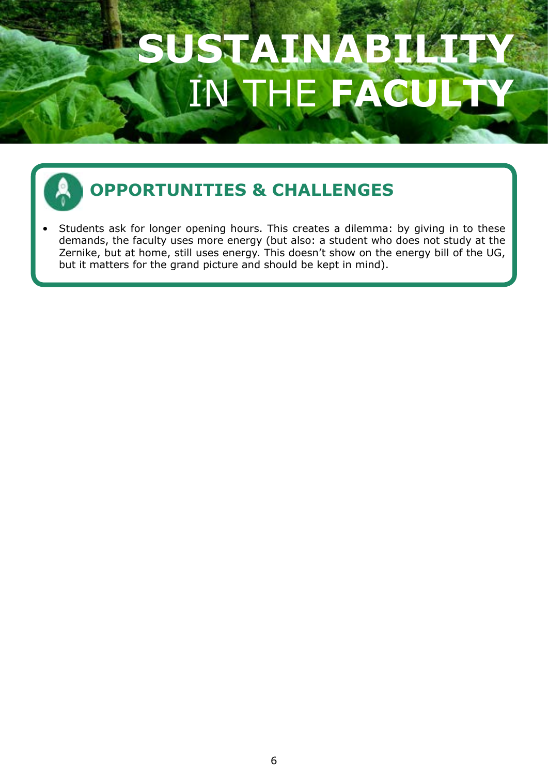# SUSTAINAB THE FAC

### **OPPORTUNITIES & CHALLENGES**

Students ask for longer opening hours. This creates a dilemma: by giving in to these demands, the faculty uses more energy (but also: a student who does not study at the Zernike, but at home, still uses energy. This doesn't show on the energy bill of the UG, but it matters for the grand picture and should be kept in mind).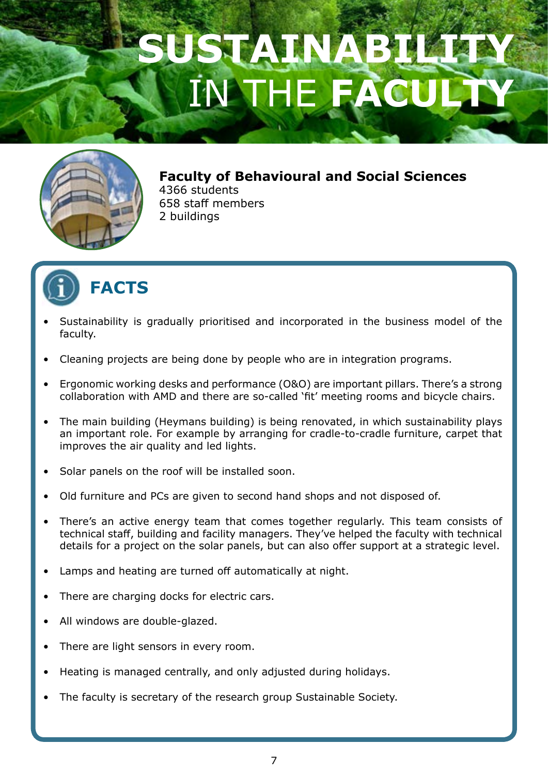### USTAINAB **INTHE FACULTY**



**Faculty of Behavioural and Social Sciences** 4366 students 658 staff members 2 buildings



- Sustainability is gradually prioritised and incorporated in the business model of the faculty.
- Cleaning projects are being done by people who are in integration programs.
- Ergonomic working desks and performance (O&O) are important pillars. There's a strong collaboration with AMD and there are so-called 'fit' meeting rooms and bicycle chairs.
- The main building (Heymans building) is being renovated, in which sustainability plays an important role. For example by arranging for cradle-to-cradle furniture, carpet that improves the air quality and led lights.
- Solar panels on the roof will be installed soon.
- Old furniture and PCs are given to second hand shops and not disposed of.
- There's an active energy team that comes together regularly. This team consists of technical staff, building and facility managers. They've helped the faculty with technical details for a project on the solar panels, but can also offer support at a strategic level.
- Lamps and heating are turned off automatically at night.
- There are charging docks for electric cars.
- All windows are double-glazed.
- There are light sensors in every room.
- Heating is managed centrally, and only adjusted during holidays.
- The faculty is secretary of the research group Sustainable Society.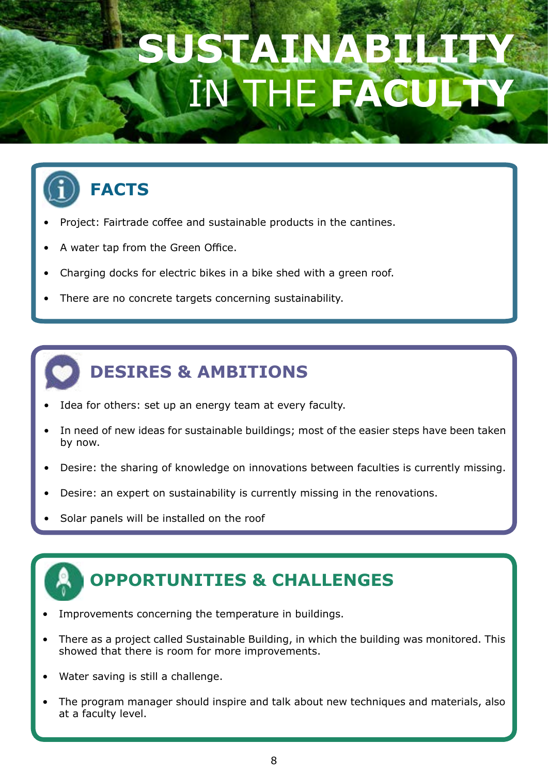### SUSTAINABILITY THE FAC



- Project: Fairtrade coffee and sustainable products in the cantines.
- A water tap from the Green Office.
- Charging docks for electric bikes in a bike shed with a green roof.
- There are no concrete targets concerning sustainability.



- Idea for others: set up an energy team at every faculty.
- In need of new ideas for sustainable buildings; most of the easier steps have been taken by now.
- Desire: the sharing of knowledge on innovations between faculties is currently missing.
- Desire: an expert on sustainability is currently missing in the renovations.
- Solar panels will be installed on the roof

- Improvements concerning the temperature in buildings.
- There as a project called Sustainable Building, in which the building was monitored. This showed that there is room for more improvements.
- Water saving is still a challenge.
- The program manager should inspire and talk about new techniques and materials, also at a faculty level.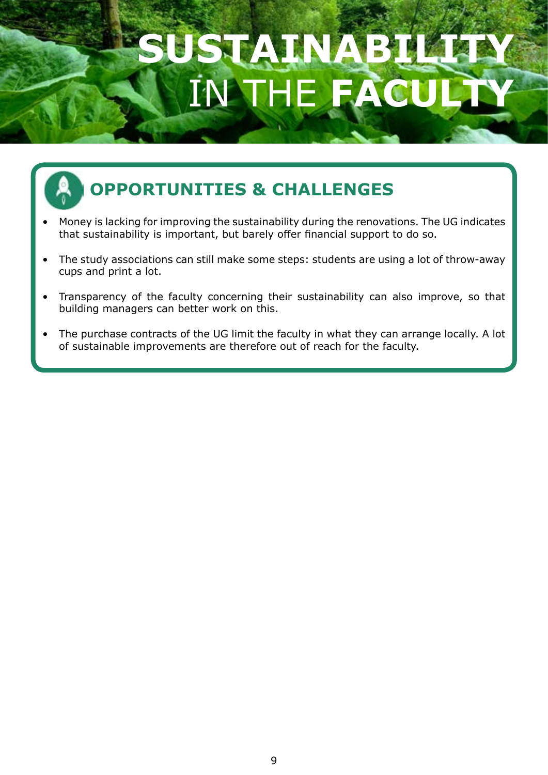## **SUSTAINABILITY A** THE FA



- Money is lacking for improving the sustainability during the renovations. The UG indicates that sustainability is important, but barely offer financial support to do so.
- The study associations can still make some steps: students are using a lot of throw-away cups and print a lot.
- Transparency of the faculty concerning their sustainability can also improve, so that building managers can better work on this.
- The purchase contracts of the UG limit the faculty in what they can arrange locally. A lot of sustainable improvements are therefore out of reach for the faculty.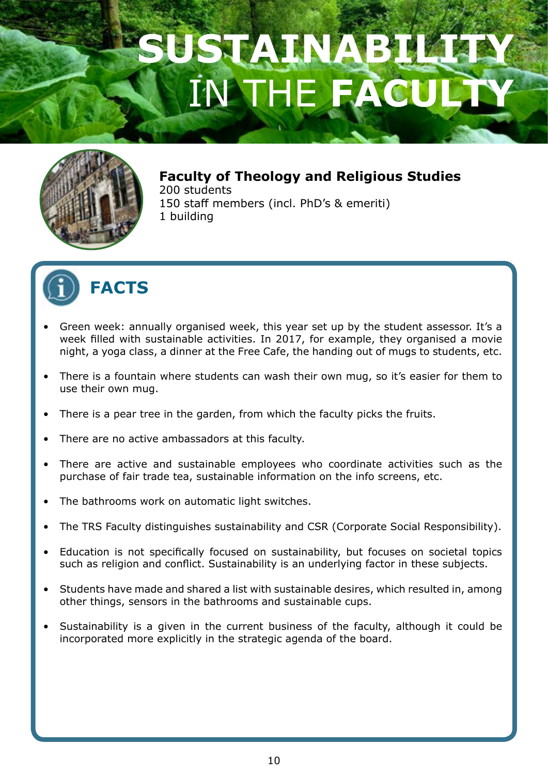

**Faculty of Theology and Religious Studies** 200 students 150 staff members (incl. PhD's & emeriti) 1 building



- Green week: annually organised week, this year set up by the student assessor. It's a week filled with sustainable activities. In 2017, for example, they organised a movie night, a yoga class, a dinner at the Free Cafe, the handing out of mugs to students, etc.
- There is a fountain where students can wash their own mug, so it's easier for them to use their own mug.
- There is a pear tree in the garden, from which the faculty picks the fruits.
- There are no active ambassadors at this faculty.
- There are active and sustainable employees who coordinate activities such as the purchase of fair trade tea, sustainable information on the info screens, etc.
- The bathrooms work on automatic light switches.
- The TRS Faculty distinguishes sustainability and CSR (Corporate Social Responsibility).
- Education is not specifically focused on sustainability, but focuses on societal topics such as religion and conflict. Sustainability is an underlying factor in these subjects.
- Students have made and shared a list with sustainable desires, which resulted in, among other things, sensors in the bathrooms and sustainable cups.
- Sustainability is a given in the current business of the faculty, although it could be incorporated more explicitly in the strategic agenda of the board.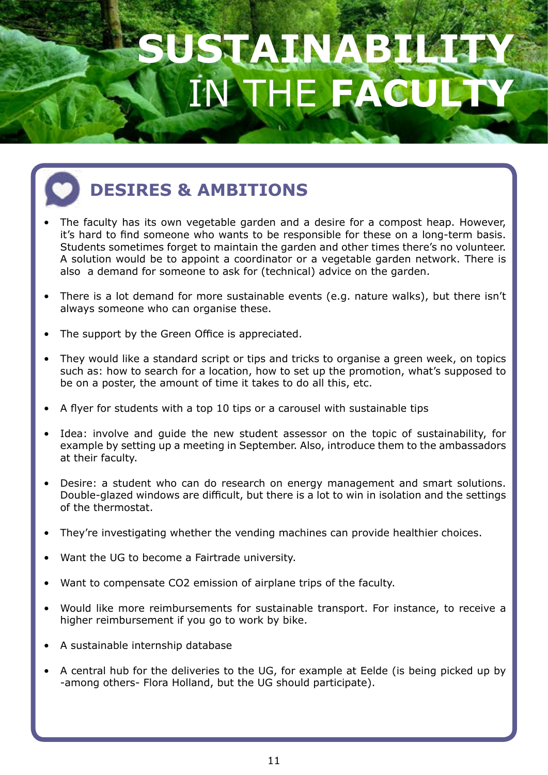

### **DESIRES & AMBITIONS**

- The faculty has its own vegetable garden and a desire for a compost heap. However, it's hard to find someone who wants to be responsible for these on a long-term basis. Students sometimes forget to maintain the garden and other times there's no volunteer. A solution would be to appoint a coordinator or a vegetable garden network. There is also a demand for someone to ask for (technical) advice on the garden.
- There is a lot demand for more sustainable events (e.g. nature walks), but there isn't always someone who can organise these.
- The support by the Green Office is appreciated.
- They would like a standard script or tips and tricks to organise a green week, on topics such as: how to search for a location, how to set up the promotion, what's supposed to be on a poster, the amount of time it takes to do all this, etc.
- A flyer for students with a top 10 tips or a carousel with sustainable tips
- Idea: involve and quide the new student assessor on the topic of sustainability, for example by setting up a meeting in September. Also, introduce them to the ambassadors at their faculty.
- Desire: a student who can do research on energy management and smart solutions. Double-glazed windows are difficult, but there is a lot to win in isolation and the settings of the thermostat.
- They're investigating whether the vending machines can provide healthier choices.
- Want the UG to become a Fairtrade university.
- Want to compensate CO2 emission of airplane trips of the faculty.
- Would like more reimbursements for sustainable transport. For instance, to receive a higher reimbursement if you go to work by bike.
- A sustainable internship database
- A central hub for the deliveries to the UG, for example at Eelde (is being picked up by -among others- Flora Holland, but the UG should participate).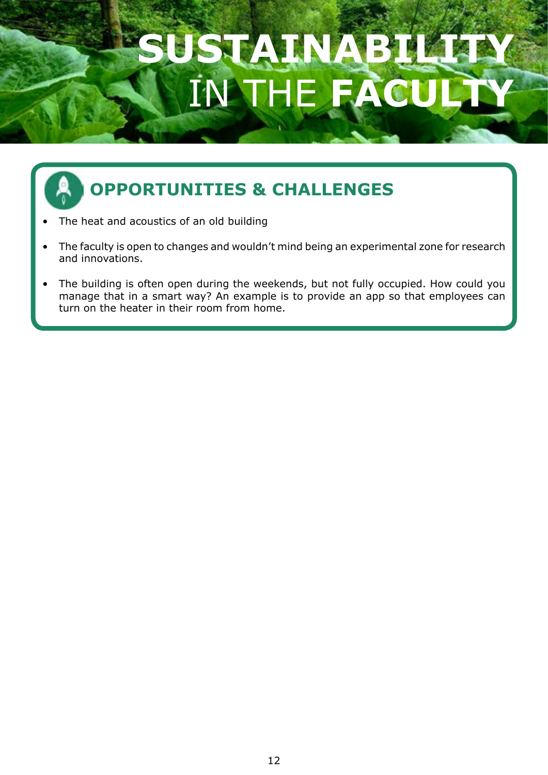# **SUSTAINABILITY** IN THE **FACULTY**



- The heat and acoustics of an old building
- The faculty is open to changes and wouldn't mind being an experimental zone for research and innovations.
- The building is often open during the weekends, but not fully occupied. How could you manage that in a smart way? An example is to provide an app so that employees can turn on the heater in their room from home.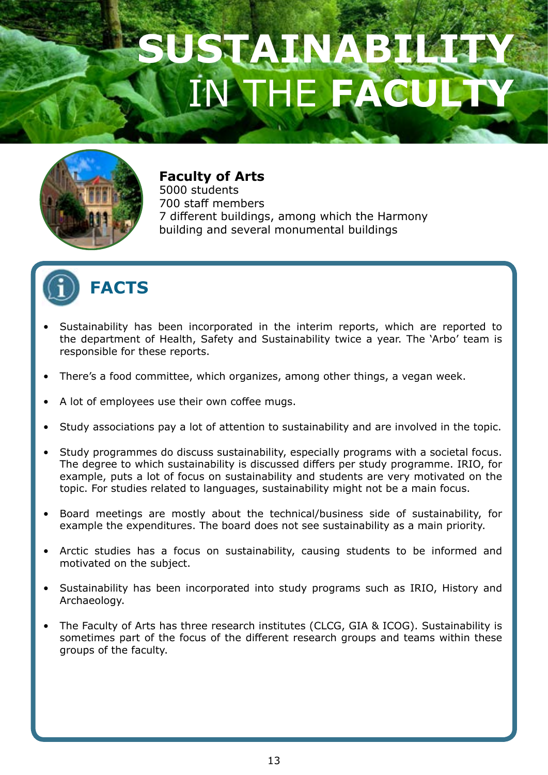

#### **Faculty of Arts** 5000 students

700 staff members 7 different buildings, among which the Harmony building and several monumental buildings



- Sustainability has been incorporated in the interim reports, which are reported to the department of Health, Safety and Sustainability twice a year. The 'Arbo' team is responsible for these reports.
- There's a food committee, which organizes, among other things, a vegan week.
- A lot of employees use their own coffee mugs.
- Study associations pay a lot of attention to sustainability and are involved in the topic.
- Study programmes do discuss sustainability, especially programs with a societal focus. The degree to which sustainability is discussed differs per study programme. IRIO, for example, puts a lot of focus on sustainability and students are very motivated on the topic. For studies related to languages, sustainability might not be a main focus.
- Board meetings are mostly about the technical/business side of sustainability, for example the expenditures. The board does not see sustainability as a main priority.
- Arctic studies has a focus on sustainability, causing students to be informed and motivated on the subject.
- Sustainability has been incorporated into study programs such as IRIO, History and Archaeology.
- The Faculty of Arts has three research institutes (CLCG, GIA & ICOG). Sustainability is sometimes part of the focus of the different research groups and teams within these groups of the faculty.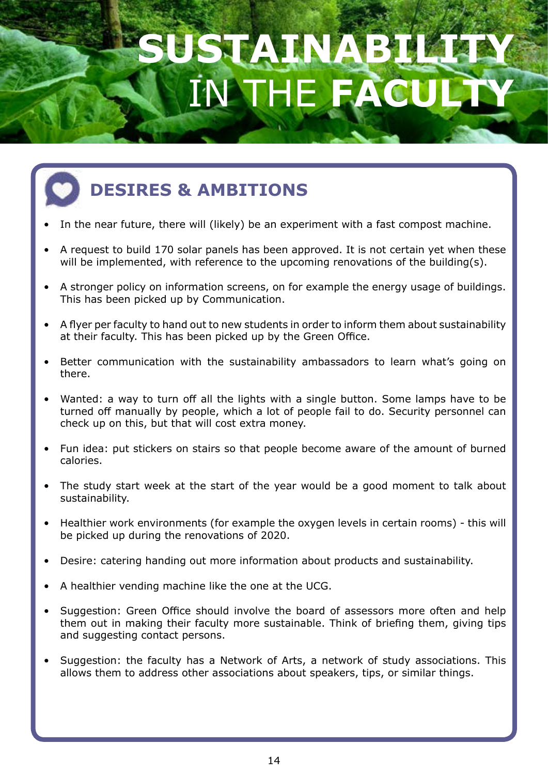# SUSTAINAB **INTHE FACULTY**



### **DESIRES & AMBITIONS**

- In the near future, there will (likely) be an experiment with a fast compost machine.
- A request to build 170 solar panels has been approved. It is not certain yet when these will be implemented, with reference to the upcoming renovations of the building(s).
- A stronger policy on information screens, on for example the energy usage of buildings. This has been picked up by Communication.
- A flyer per faculty to hand out to new students in order to inform them about sustainability at their faculty. This has been picked up by the Green Office.
- Better communication with the sustainability ambassadors to learn what's going on there.
- Wanted: a way to turn off all the lights with a single button. Some lamps have to be turned off manually by people, which a lot of people fail to do. Security personnel can check up on this, but that will cost extra money.
- Fun idea: put stickers on stairs so that people become aware of the amount of burned calories.
- The study start week at the start of the year would be a good moment to talk about sustainability.
- Healthier work environments (for example the oxygen levels in certain rooms) this will be picked up during the renovations of 2020.
- Desire: catering handing out more information about products and sustainability.
- A healthier vending machine like the one at the UCG.
- Suggestion: Green Office should involve the board of assessors more often and help them out in making their faculty more sustainable. Think of briefing them, giving tips and suggesting contact persons.
- Suggestion: the faculty has a Network of Arts, a network of study associations. This allows them to address other associations about speakers, tips, or similar things.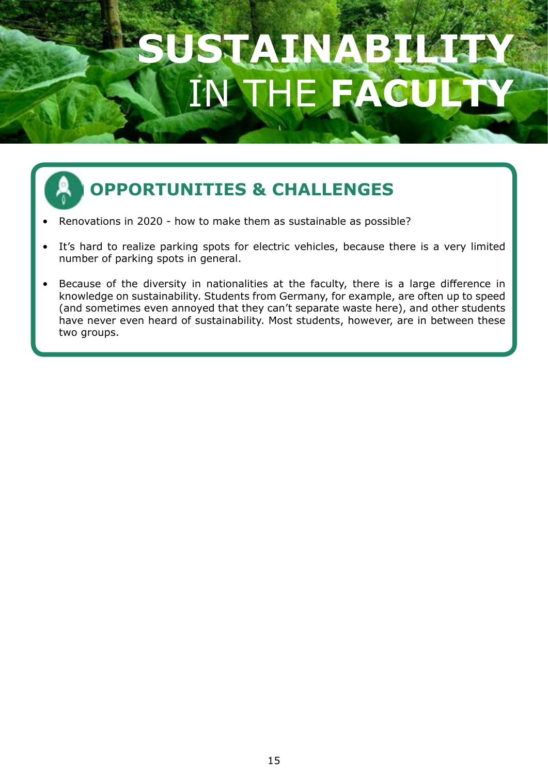# SUSTAVI**N** IN THE **FACULTY**

- Renovations in 2020 how to make them as sustainable as possible?
- It's hard to realize parking spots for electric vehicles, because there is a very limited number of parking spots in general.
- Because of the diversity in nationalities at the faculty, there is a large difference in knowledge on sustainability. Students from Germany, for example, are often up to speed (and sometimes even annoyed that they can't separate waste here), and other students have never even heard of sustainability. Most students, however, are in between these two groups.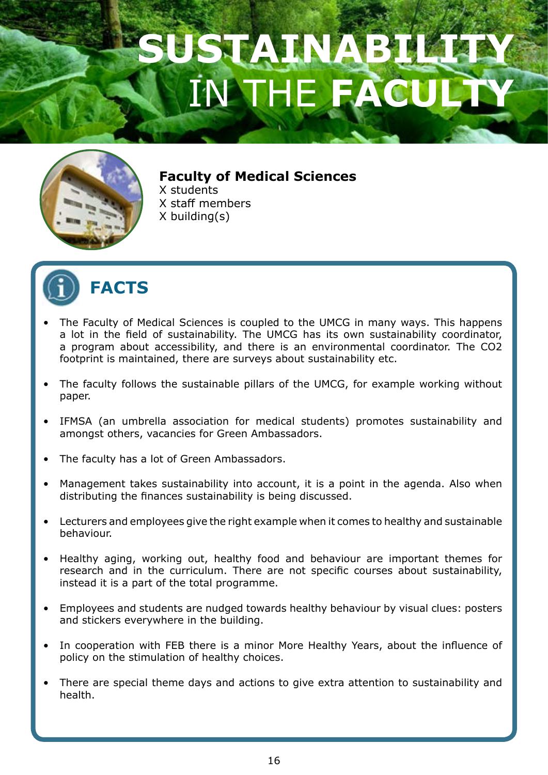

#### **Faculty of Medical Sciences**

X students X staff members X building(s)



- The Faculty of Medical Sciences is coupled to the UMCG in many ways. This happens a lot in the field of sustainability. The UMCG has its own sustainability coordinator, a program about accessibility, and there is an environmental coordinator. The CO2 footprint is maintained, there are surveys about sustainability etc.
- The faculty follows the sustainable pillars of the UMCG, for example working without paper.
- IFMSA (an umbrella association for medical students) promotes sustainability and amongst others, vacancies for Green Ambassadors.
- The faculty has a lot of Green Ambassadors.
- Management takes sustainability into account, it is a point in the agenda. Also when distributing the finances sustainability is being discussed.
- Lecturers and employees give the right example when it comes to healthy and sustainable behaviour.
- Healthy aging, working out, healthy food and behaviour are important themes for research and in the curriculum. There are not specific courses about sustainability, instead it is a part of the total programme.
- Employees and students are nudged towards healthy behaviour by visual clues: posters and stickers everywhere in the building.
- In cooperation with FEB there is a minor More Healthy Years, about the influence of policy on the stimulation of healthy choices.
- There are special theme days and actions to give extra attention to sustainability and health.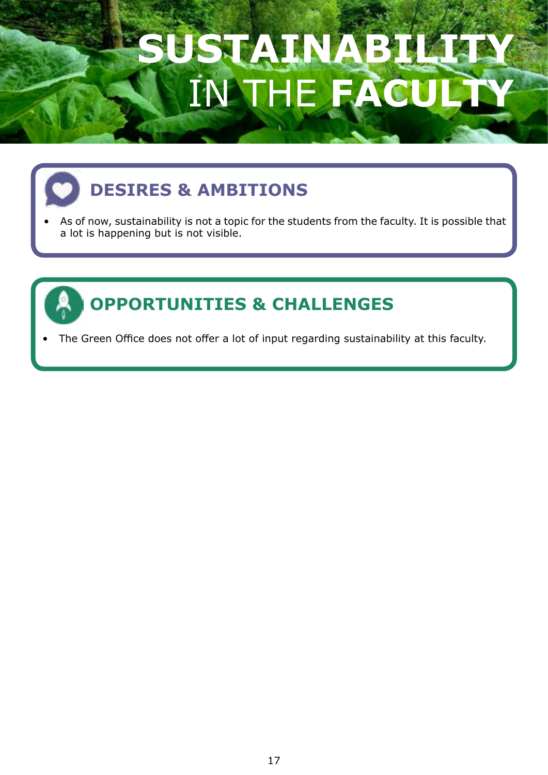# SUSTAINAB THE FAC

### **DESIRES & AMBITIONS**

• As of now, sustainability is not a topic for the students from the faculty. It is possible that a lot is happening but is not visible.



### **OPPORTUNITIES & CHALLENGES**

The Green Office does not offer a lot of input regarding sustainability at this faculty.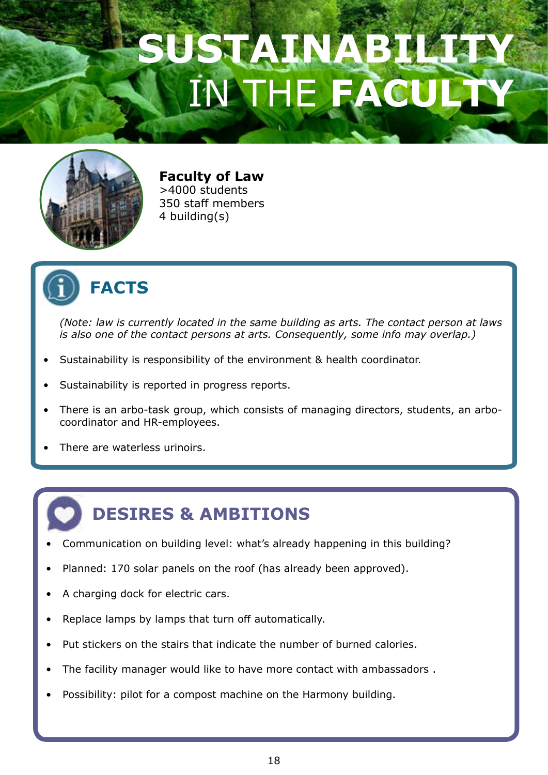### SUSTAINABI **INTHE FACULTY**



**Faculty of Law** >4000 students 350 staff members 4 building(s)



#### **FACTS**

*(Note: law is currently located in the same building as arts. The contact person at laws is also one of the contact persons at arts. Consequently, some info may overlap.)* 

- Sustainability is responsibility of the environment & health coordinator.
- Sustainability is reported in progress reports.
- There is an arbo-task group, which consists of managing directors, students, an arbocoordinator and HR-employees.
- There are waterless urinoirs.

### **DESIRES & AMBITIONS**

- Communication on building level: what's already happening in this building?
- Planned: 170 solar panels on the roof (has already been approved).
- A charging dock for electric cars.
- Replace lamps by lamps that turn off automatically.
- Put stickers on the stairs that indicate the number of burned calories.
- The facility manager would like to have more contact with ambassadors.
- Possibility: pilot for a compost machine on the Harmony building.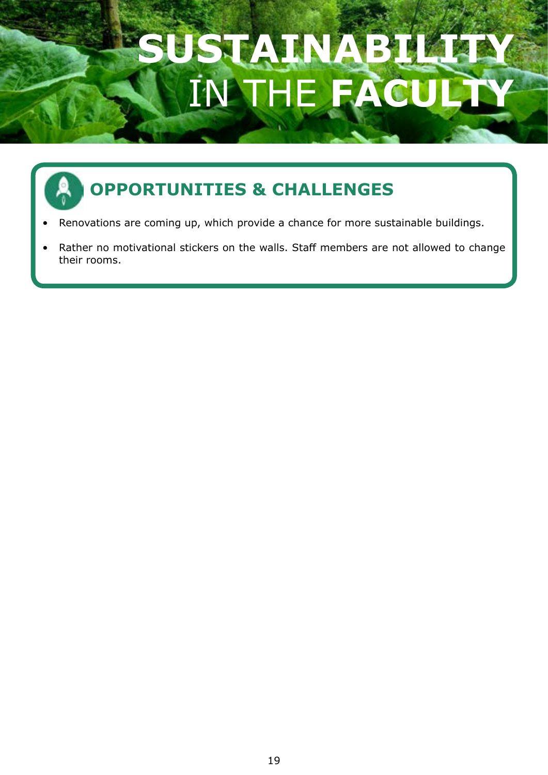# SUSTAINAB THE **FA**

- Renovations are coming up, which provide a chance for more sustainable buildings.
- Rather no motivational stickers on the walls. Staff members are not allowed to change their rooms.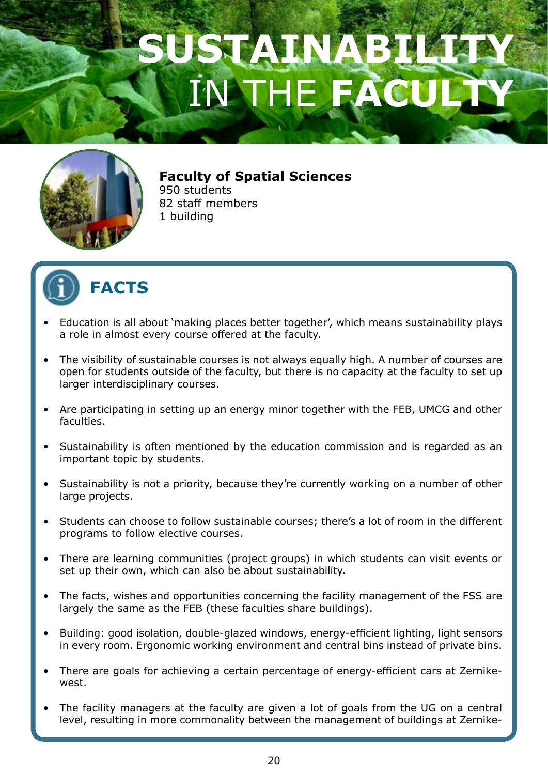

**Faculty of Spatial Sciences**

950 students 82 staff members 1 building



- Education is all about 'making places better together', which means sustainability plays a role in almost every course offered at the faculty.
- The visibility of sustainable courses is not always equally high. A number of courses are open for students outside of the faculty, but there is no capacity at the faculty to set up larger interdisciplinary courses.
- Are participating in setting up an energy minor together with the FEB, UMCG and other faculties.
- Sustainability is often mentioned by the education commission and is regarded as an important topic by students.
- Sustainability is not a priority, because they're currently working on a number of other large projects.
- Students can choose to follow sustainable courses; there's a lot of room in the different programs to follow elective courses.
- There are learning communities (project groups) in which students can visit events or set up their own, which can also be about sustainability.
- The facts, wishes and opportunities concerning the facility management of the FSS are largely the same as the FEB (these faculties share buildings).
- Building: good isolation, double-glazed windows, energy-efficient lighting, light sensors in every room. Ergonomic working environment and central bins instead of private bins.
- There are goals for achieving a certain percentage of energy-efficient cars at Zernikewest.
- The facility managers at the faculty are given a lot of goals from the UG on a central level, resulting in more commonality between the management of buildings at Zernike-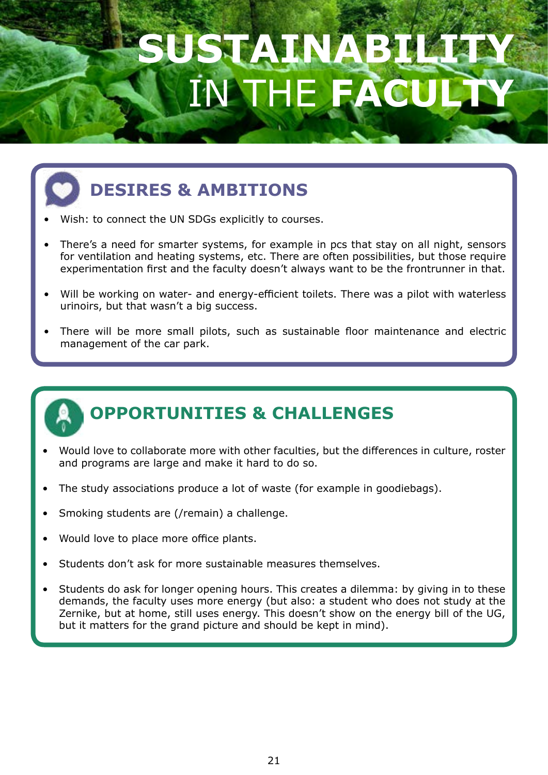# SUATINA THE FA



### **DESIRES & AMBITIONS**

- Wish: to connect the UN SDGs explicitly to courses.
- There's a need for smarter systems, for example in pcs that stay on all night, sensors for ventilation and heating systems, etc. There are often possibilities, but those require experimentation first and the faculty doesn't always want to be the frontrunner in that.
- Will be working on water- and energy-efficient toilets. There was a pilot with waterless urinoirs, but that wasn't a big success.
- There will be more small pilots, such as sustainable floor maintenance and electric management of the car park.



- Would love to collaborate more with other faculties, but the differences in culture, roster and programs are large and make it hard to do so.
- The study associations produce a lot of waste (for example in goodiebags).
- Smoking students are (/remain) a challenge.
- Would love to place more office plants.
- Students don't ask for more sustainable measures themselves.
- Students do ask for longer opening hours. This creates a dilemma: by giving in to these demands, the faculty uses more energy (but also: a student who does not study at the Zernike, but at home, still uses energy. This doesn't show on the energy bill of the UG, but it matters for the grand picture and should be kept in mind).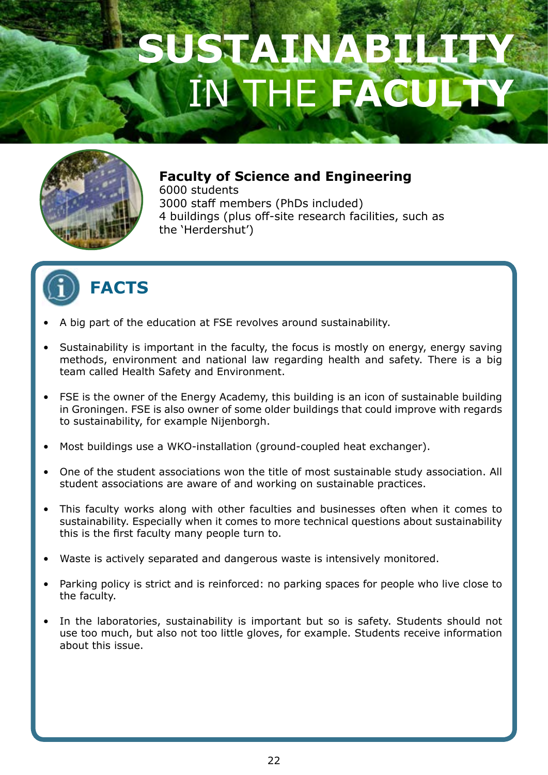

#### **Faculty of Science and Engineering**

6000 students 3000 staff members (PhDs included) 4 buildings (plus off-site research facilities, such as the 'Herdershut')



- A big part of the education at FSE revolves around sustainability.
- Sustainability is important in the faculty, the focus is mostly on energy, energy saving methods, environment and national law regarding health and safety. There is a big team called Health Safety and Environment.
- FSE is the owner of the Energy Academy, this building is an icon of sustainable building in Groningen. FSE is also owner of some older buildings that could improve with regards to sustainability, for example Nijenborgh.
- Most buildings use a WKO-installation (ground-coupled heat exchanger).
- One of the student associations won the title of most sustainable study association. All student associations are aware of and working on sustainable practices.
- This faculty works along with other faculties and businesses often when it comes to sustainability. Especially when it comes to more technical questions about sustainability this is the first faculty many people turn to.
- Waste is actively separated and dangerous waste is intensively monitored.
- Parking policy is strict and is reinforced: no parking spaces for people who live close to the faculty.
- In the laboratories, sustainability is important but so is safety. Students should not use too much, but also not too little gloves, for example. Students receive information about this issue.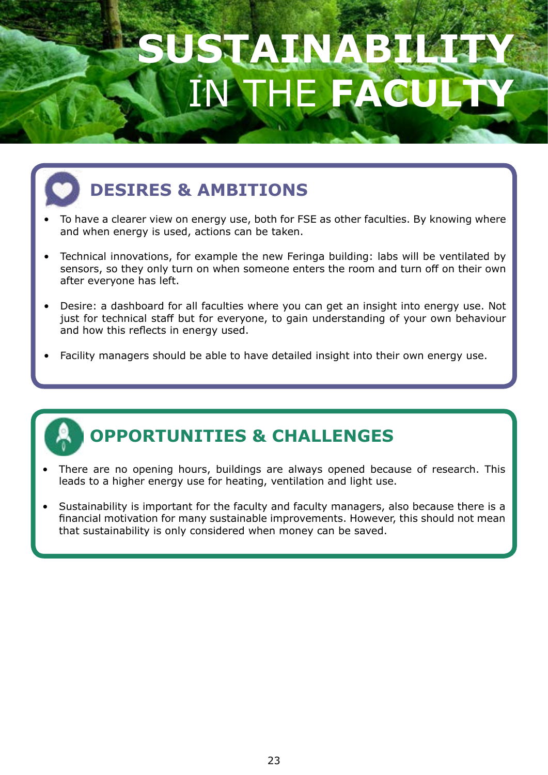# SUSTAVITY A IN THE **FACULTY**



### **DESIRES & AMBITIONS**

- To have a clearer view on energy use, both for FSE as other faculties. By knowing where and when energy is used, actions can be taken.
- Technical innovations, for example the new Feringa building: labs will be ventilated by sensors, so they only turn on when someone enters the room and turn off on their own after everyone has left.
- Desire: a dashboard for all faculties where you can get an insight into energy use. Not just for technical staff but for everyone, to gain understanding of your own behaviour and how this reflects in energy used.
- Facility managers should be able to have detailed insight into their own energy use.



- There are no opening hours, buildings are always opened because of research. This leads to a higher energy use for heating, ventilation and light use.
- Sustainability is important for the faculty and faculty managers, also because there is a financial motivation for many sustainable improvements. However, this should not mean that sustainability is only considered when money can be saved.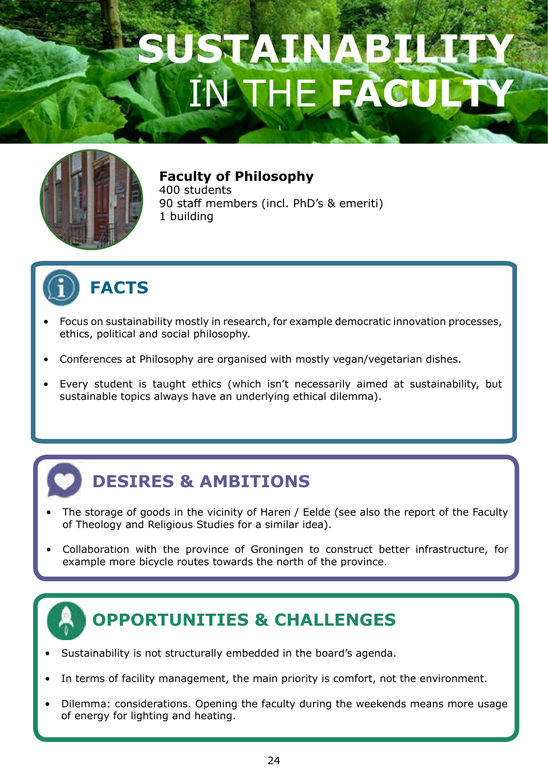

#### **Faculty of Philosophy**

400 students 90 staff members (incl. PhD's & emeriti) 1 building



ī

#### **FACTS**

- Focus on sustainability mostly in research, for example democratic innovation processes, ethics, political and social philosophy.
- Conferences at Philosophy are organised with mostly vegan/vegetarian dishes.
- Every student is taught ethics (which isn't necessarily aimed at sustainability, but sustainable topics always have an underlying ethical dilemma).



- The storage of goods in the vicinity of Haren / Eelde (see also the report of the Faculty of Theology and Religious Studies for a similar idea).
- Collaboration with the province of Groningen to construct better infrastructure, for example more bicycle routes towards the north of the province.

- Sustainability is not structurally embedded in the board's agenda.
- In terms of facility management, the main priority is comfort, not the environment.
- Dilemma: considerations. Opening the faculty during the weekends means more usage of energy for lighting and heating.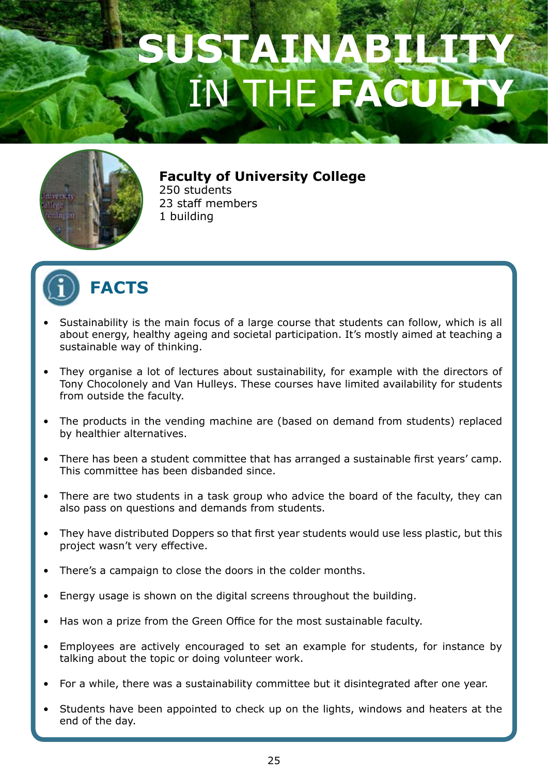

#### **Faculty of University College**

250 students 23 staff members 1 building



- Sustainability is the main focus of a large course that students can follow, which is all about energy, healthy ageing and societal participation. It's mostly aimed at teaching a sustainable way of thinking.
- They organise a lot of lectures about sustainability, for example with the directors of Tony Chocolonely and Van Hulleys. These courses have limited availability for students from outside the faculty.
- The products in the vending machine are (based on demand from students) replaced by healthier alternatives.
- There has been a student committee that has arranged a sustainable first years' camp. This committee has been disbanded since.
- There are two students in a task group who advice the board of the faculty, they can also pass on questions and demands from students.
- They have distributed Doppers so that first year students would use less plastic, but this project wasn't very effective.
- There's a campaign to close the doors in the colder months.
- Energy usage is shown on the digital screens throughout the building.
- Has won a prize from the Green Office for the most sustainable faculty.
- Employees are actively encouraged to set an example for students, for instance by talking about the topic or doing volunteer work.
- For a while, there was a sustainability committee but it disintegrated after one year.
- Students have been appointed to check up on the lights, windows and heaters at the end of the day.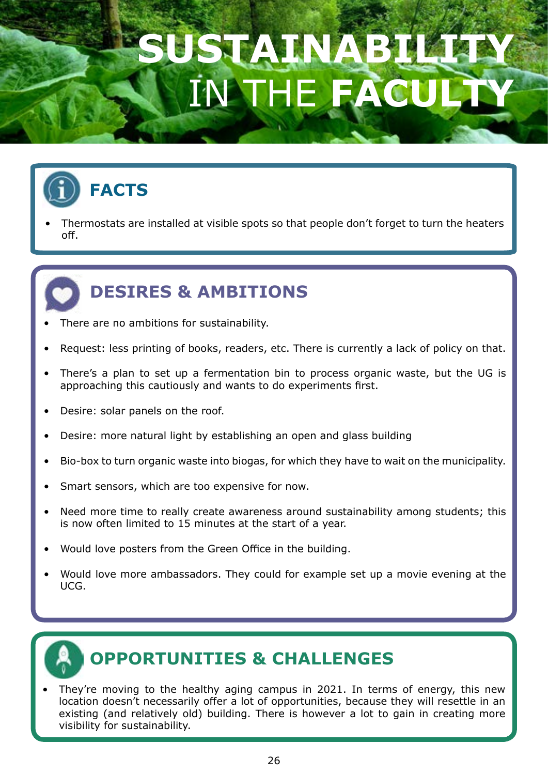### SUSTAINABI **INTHE FACULTY**



Ę

Thermostats are installed at visible spots so that people don't forget to turn the heaters off.

#### **DESIRES & AMBITIONS**

- There are no ambitions for sustainability.
- Request: less printing of books, readers, etc. There is currently a lack of policy on that.
- There's a plan to set up a fermentation bin to process organic waste, but the UG is approaching this cautiously and wants to do experiments first.
- Desire: solar panels on the roof.
- Desire: more natural light by establishing an open and glass building
- Bio-box to turn organic waste into biogas, for which they have to wait on the municipality.
- Smart sensors, which are too expensive for now.
- Need more time to really create awareness around sustainability among students; this is now often limited to 15 minutes at the start of a year.
- Would love posters from the Green Office in the building.
- Would love more ambassadors. They could for example set up a movie evening at the UCG.



#### **OPPORTUNITIES & CHALLENGES**

They're moving to the healthy aging campus in 2021. In terms of energy, this new location doesn't necessarily offer a lot of opportunities, because they will resettle in an existing (and relatively old) building. There is however a lot to gain in creating more visibility for sustainability.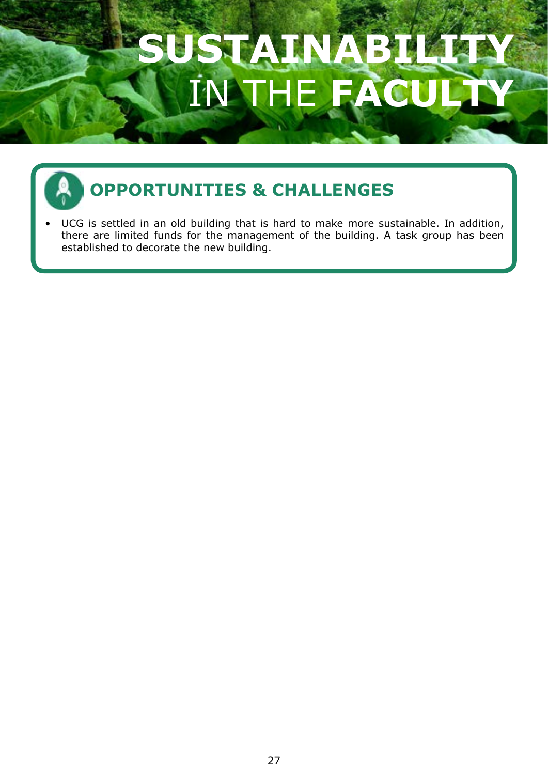

### **OPPORTUNITIES & CHALLENGES**

UCG is settled in an old building that is hard to make more sustainable. In addition, there are limited funds for the management of the building. A task group has been established to decorate the new building.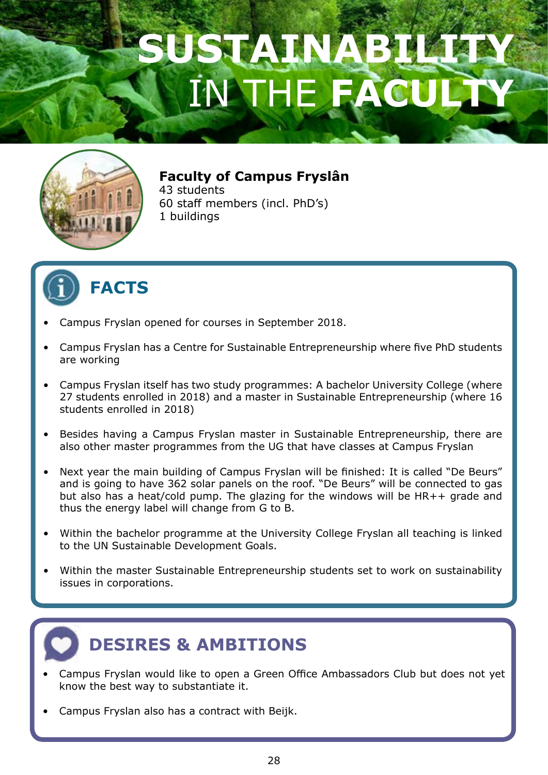

#### **Faculty of Campus Fryslân**

43 students 60 staff members (incl. PhD's) 1 buildings



#### **FACTS**

- Campus Fryslan opened for courses in September 2018.
- Campus Fryslan has a Centre for Sustainable Entrepreneurship where five PhD students are working
- Campus Fryslan itself has two study programmes: A bachelor University College (where 27 students enrolled in 2018) and a master in Sustainable Entrepreneurship (where 16 students enrolled in 2018)
- Besides having a Campus Fryslan master in Sustainable Entrepreneurship, there are also other master programmes from the UG that have classes at Campus Fryslan
- Next year the main building of Campus Fryslan will be finished: It is called "De Beurs" and is going to have 362 solar panels on the roof. "De Beurs" will be connected to gas but also has a heat/cold pump. The glazing for the windows will be HR++ grade and thus the energy label will change from G to B.
- Within the bachelor programme at the University College Fryslan all teaching is linked to the UN Sustainable Development Goals.
- Within the master Sustainable Entrepreneurship students set to work on sustainability issues in corporations.



#### **DESIRES & AMBITIONS**

- Campus Fryslan would like to open a Green Office Ambassadors Club but does not yet know the best way to substantiate it.
- Campus Fryslan also has a contract with Beijk.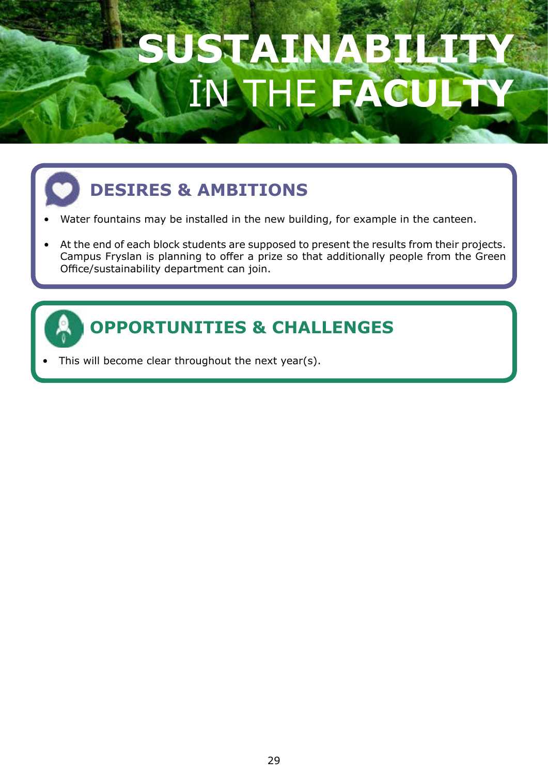# **SUSTAINABILITY AT** IN THE **FACULTY**

### **DESIRES & AMBITIONS**

- Water fountains may be installed in the new building, for example in the canteen.
- At the end of each block students are supposed to present the results from their projects. Campus Fryslan is planning to offer a prize so that additionally people from the Green Office/sustainability department can join.



### **OPPORTUNITIES & CHALLENGES**

This will become clear throughout the next year(s).